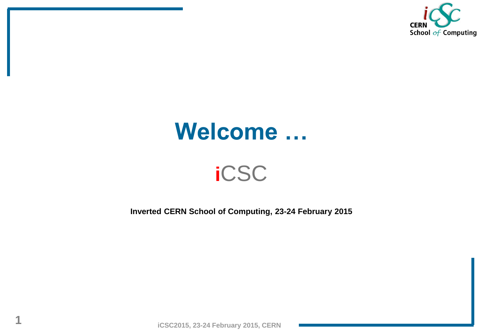

#### **Welcome …**

#### **i**CSC

**Inverted CERN School of Computing, 23-24 February 2015**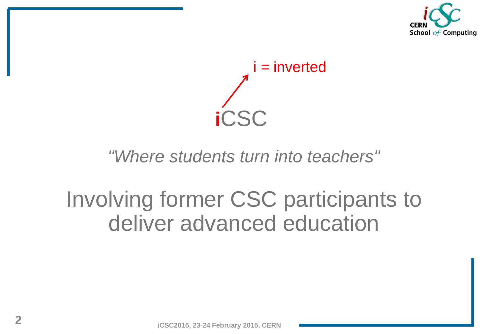

**i**CSC i = inverted

#### *"Where students turn into teachers"*

#### Involving former CSC participants to deliver advanced education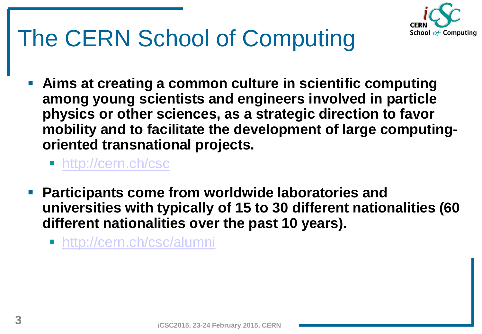

- **Aims at creating a common culture in scientific computing among young scientists and engineers involved in particle physics or other sciences, as a strategic direction to favor mobility and to facilitate the development of large computingoriented transnational projects.** 
	- <http://cern.ch/csc>
- **Participants come from worldwide laboratories and universities with typically of 15 to 30 different nationalities (60 different nationalities over the past 10 years).** 
	- <http://cern.ch/csc/alumni>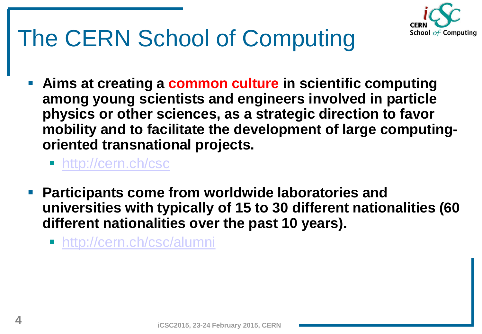

- **Aims at creating a common culture in scientific computing among young scientists and engineers involved in particle physics or other sciences, as a strategic direction to favor mobility and to facilitate the development of large computingoriented transnational projects.** 
	- <http://cern.ch/csc>
- **Participants come from worldwide laboratories and universities with typically of 15 to 30 different nationalities (60 different nationalities over the past 10 years).** 
	- <http://cern.ch/csc/alumni>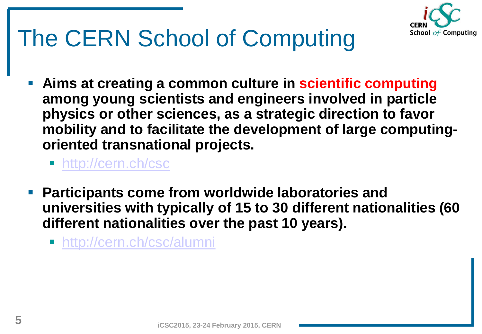

- **Aims at creating a common culture in scientific computing among young scientists and engineers involved in particle physics or other sciences, as a strategic direction to favor mobility and to facilitate the development of large computingoriented transnational projects.** 
	- <http://cern.ch/csc>
- **Participants come from worldwide laboratories and universities with typically of 15 to 30 different nationalities (60 different nationalities over the past 10 years).** 
	- <http://cern.ch/csc/alumni>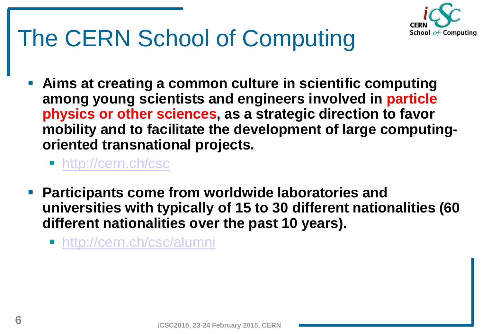

- **Aims at creating a common culture in scientific computing among young scientists and engineers involved in particle physics or other sciences, as a strategic direction to favor mobility and to facilitate the development of large computingoriented transnational projects.** 
	- <http://cern.ch/csc>
- **Participants come from worldwide laboratories and universities with typically of 15 to 30 different nationalities (60 different nationalities over the past 10 years).** 
	- <http://cern.ch/csc/alumni>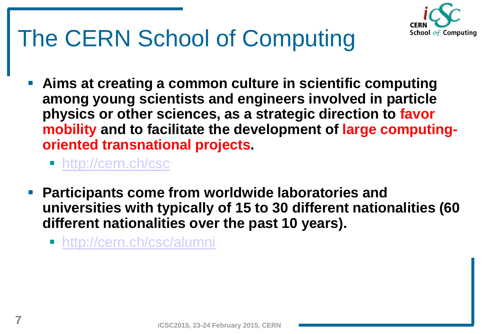

- **Aims at creating a common culture in scientific computing among young scientists and engineers involved in particle physics or other sciences, as a strategic direction to favor mobility and to facilitate the development of large computingoriented transnational projects.** 
	- <http://cern.ch/csc>
- **Participants come from worldwide laboratories and universities with typically of 15 to 30 different nationalities (60 different nationalities over the past 10 years).** 
	- <http://cern.ch/csc/alumni>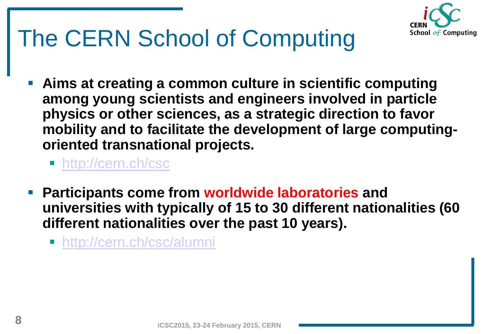

- **Aims at creating a common culture in scientific computing among young scientists and engineers involved in particle physics or other sciences, as a strategic direction to favor mobility and to facilitate the development of large computingoriented transnational projects.** 
	- <http://cern.ch/csc>
- **Participants come from worldwide laboratories and universities with typically of 15 to 30 different nationalities (60 different nationalities over the past 10 years).** 
	- <http://cern.ch/csc/alumni>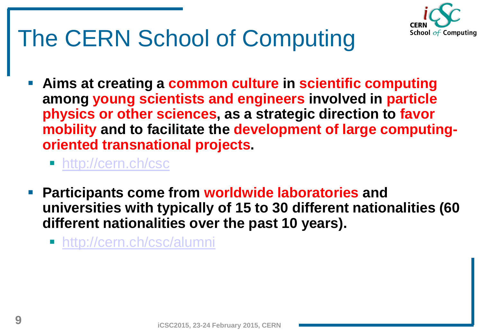

- **Aims at creating a common culture in scientific computing among young scientists and engineers involved in particle physics or other sciences, as a strategic direction to favor mobility and to facilitate the development of large computingoriented transnational projects.** 
	- <http://cern.ch/csc>
- **Participants come from worldwide laboratories and universities with typically of 15 to 30 different nationalities (60 different nationalities over the past 10 years).** 
	- <http://cern.ch/csc/alumni>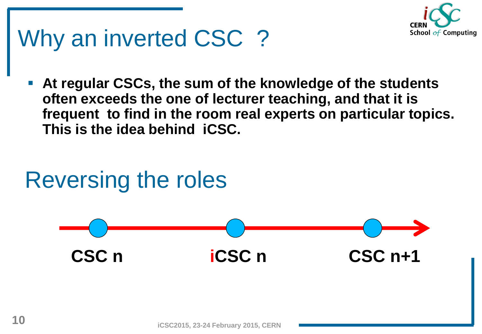

## Why an inverted CSC ?

 **At regular CSCs, the sum of the knowledge of the students often exceeds the one of lecturer teaching, and that it is frequent to find in the room real experts on particular topics. This is the idea behind iCSC.**

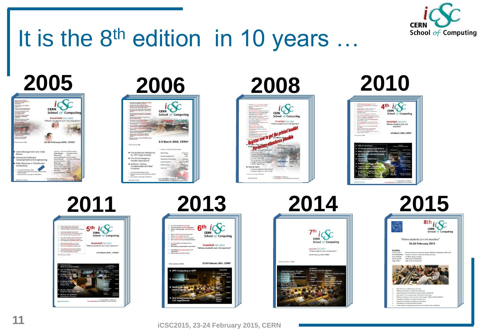

# It is the 8<sup>th</sup> edition in 10 years ...



















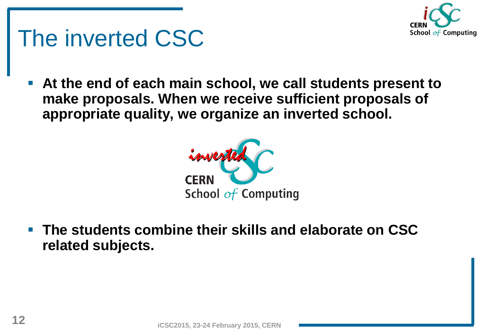

## The inverted CSC

 **At the end of each main school, we call students present to make proposals. When we receive sufficient proposals of appropriate quality, we organize an inverted school.**



 **The students combine their skills and elaborate on CSC related subjects.**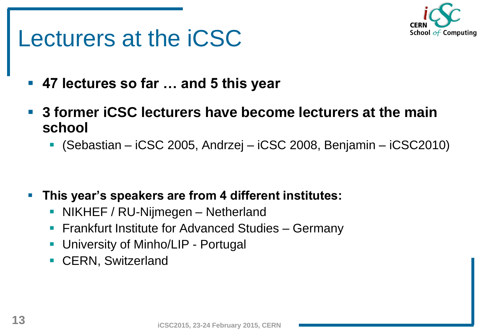

#### Lecturers at the iCSC

- **47 lectures so far … and 5 this year**
- **3 former iCSC lecturers have become lecturers at the main school** 
	- (Sebastian iCSC 2005, Andrzej iCSC 2008, Benjamin iCSC2010)

- **This year's speakers are from 4 different institutes:**
	- **NIKHEF / RU-Nijmegen Netherland**
	- **Figure 1** Frankfurt Institute for Advanced Studies Germany
	- **University of Minho/LIP Portugal**
	- **CERN, Switzerland**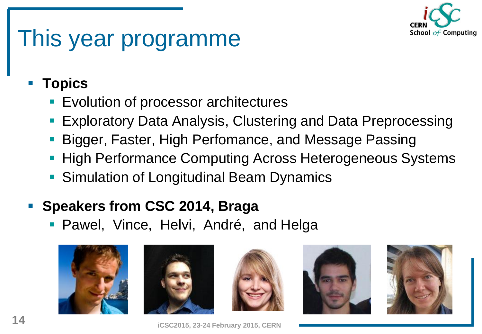

## This year programme

#### **Topics**

- **Exolution of processor architectures**
- Exploratory Data Analysis, Clustering and Data Preprocessing
- Bigger, Faster, High Perfomance, and Message Passing
- **High Performance Computing Across Heterogeneous Systems**
- **Simulation of Longitudinal Beam Dynamics**

#### **Speakers from CSC 2014, Braga**

**• Pawel, Vince, Helvi, André, and Helga** 











**14 iCSC2015, 23-24 February 2015, CERN**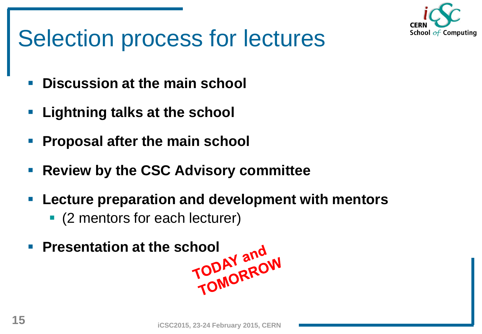

# Selection process for lectures

- **Discussion at the main school**
- **Lightning talks at the school**
- **Proposal after the main school**
- **Review by the CSC Advisory committee**
- **Lecture preparation and development with mentors** 
	- (2 mentors for each lecturer)
- **Presentation at the school<br>TODAY and<br>TODAY ADOW**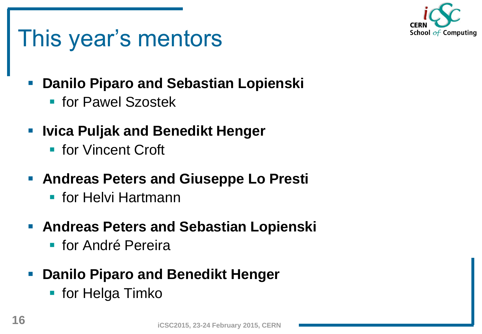

## This year's mentors

- **Danilo Piparo and Sebastian Lopienski**
	- for Pawel Szostek
- **Ivica Puljak and Benedikt Henger**
	- **Fight** for Vincent Croft
- **Andreas Peters and Giuseppe Lo Presti** 
	- for Helvi Hartmann
- **Andreas Peters and Sebastian Lopienski**
	- **Filter** for André Pereira
- **Danilo Piparo and Benedikt Henger**
	- **Fiddition Helga Timko**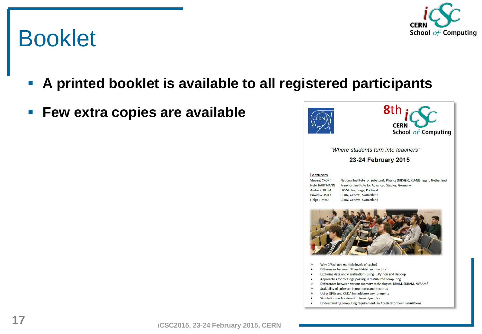# School of Computing

### Booklet

- **A printed booklet is available to all registered participants**
- **Few extra copies are available**





"Where students turn into teachers"

#### 23-24 February 2015

#### **Lecturers**

**Vincent CROFT Helvi HARTMANN Andre PEREIRA Pawel SZOSTEK Helga TIMKO** 

National Institute for Subatomic Physics (NIKHEF), RU-Nijmegen, Netherland Frankfurt Institute for Advanced Studies, Germany LIP-Minho, Braga, Portugal CERN, Geneva, Switzerland **CERN**, Geneva, Switzerland



- Why CPUs have multiple levels of cache?
- Differences between 32 and 64-bit architecture
- Exploring data and visualisations using R, Python and Hadoop
- Approaches for message passing in distributed computing
- Differences between various memory technologies: DRAM, SDRAM, NVRAM?
- Scalability of software in multicore architectures
- Using GPUs and CUDA in multicore environments
- Simulations in Acceleration been dynamics
- Understanding computing requirements in Accelerator been simulations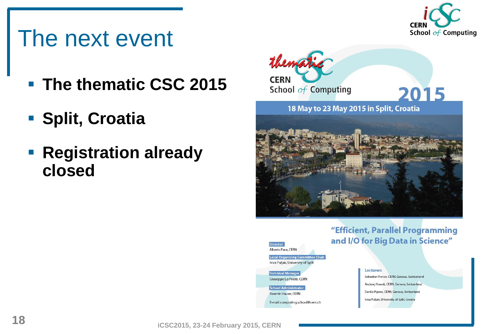

#### The next event

- **The thematic CSC 2015**
- **Split, Croatia**
- **Registration already closed**



"Efficient, Parallel Programming and I/O for Big Data in Science"



Yasemin Hauser, CERN

E-mail: computing.school@cern.ch

**Lecturers** Sebastien Ponce, CERN, Geneva, Switzerland Andrzej Nowak, CERN, Geneva, Switzerland Danilo Piparo, CERN, Geneva, Switzerland Ivica Puljak, University of Split, Croatia